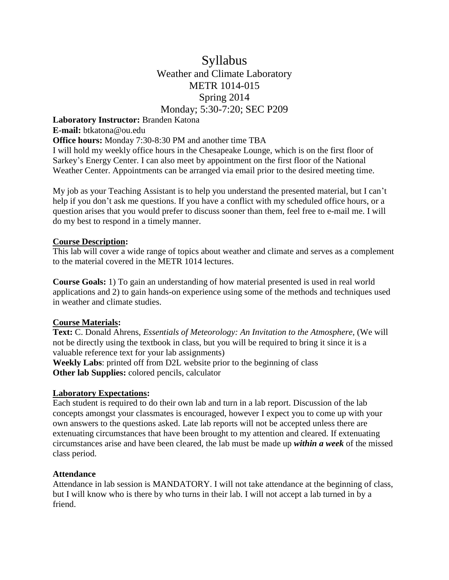# Syllabus Weather and Climate Laboratory METR 1014-015 Spring 2014 Monday; 5:30-7:20; SEC P209

## **Laboratory Instructor:** Branden Katona

#### **E-mail:** btkatona@ou.edu

**Office hours:** Monday 7:30-8:30 PM and another time TBA

I will hold my weekly office hours in the Chesapeake Lounge, which is on the first floor of Sarkey's Energy Center. I can also meet by appointment on the first floor of the National Weather Center. Appointments can be arranged via email prior to the desired meeting time.

My job as your Teaching Assistant is to help you understand the presented material, but I can't help if you don't ask me questions. If you have a conflict with my scheduled office hours, or a question arises that you would prefer to discuss sooner than them, feel free to e-mail me. I will do my best to respond in a timely manner.

## **Course Description:**

This lab will cover a wide range of topics about weather and climate and serves as a complement to the material covered in the METR 1014 lectures.

**Course Goals:** 1) To gain an understanding of how material presented is used in real world applications and 2) to gain hands-on experience using some of the methods and techniques used in weather and climate studies.

# **Course Materials:**

**Text:** C. Donald Ahrens, *Essentials of Meteorology: An Invitation to the Atmosphere,* (We will not be directly using the textbook in class, but you will be required to bring it since it is a valuable reference text for your lab assignments)

**Weekly Labs**: printed off from D2L website prior to the beginning of class **Other lab Supplies:** colored pencils, calculator

# **Laboratory Expectations:**

Each student is required to do their own lab and turn in a lab report. Discussion of the lab concepts amongst your classmates is encouraged, however I expect you to come up with your own answers to the questions asked. Late lab reports will not be accepted unless there are extenuating circumstances that have been brought to my attention and cleared. If extenuating circumstances arise and have been cleared, the lab must be made up *within a week* of the missed class period.

## **Attendance**

Attendance in lab session is MANDATORY. I will not take attendance at the beginning of class, but I will know who is there by who turns in their lab. I will not accept a lab turned in by a friend.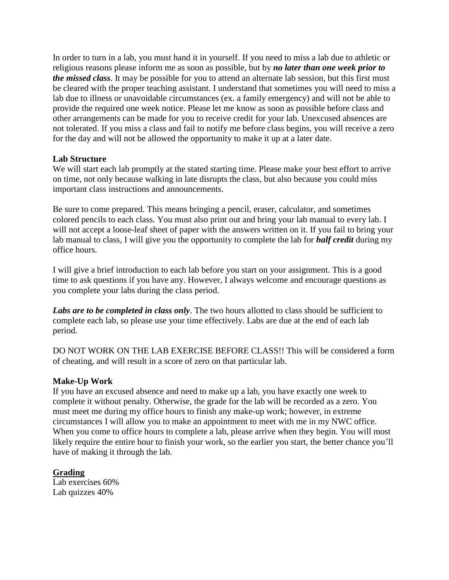In order to turn in a lab, you must hand it in yourself. If you need to miss a lab due to athletic or religious reasons please inform me as soon as possible, but by *no later than one week prior to the missed class*. It may be possible for you to attend an alternate lab session, but this first must be cleared with the proper teaching assistant. I understand that sometimes you will need to miss a lab due to illness or unavoidable circumstances (ex. a family emergency) and will not be able to provide the required one week notice. Please let me know as soon as possible before class and other arrangements can be made for you to receive credit for your lab. Unexcused absences are not tolerated. If you miss a class and fail to notify me before class begins, you will receive a zero for the day and will not be allowed the opportunity to make it up at a later date.

## **Lab Structure**

We will start each lab promptly at the stated starting time. Please make your best effort to arrive on time, not only because walking in late disrupts the class, but also because you could miss important class instructions and announcements.

Be sure to come prepared. This means bringing a pencil, eraser, calculator, and sometimes colored pencils to each class. You must also print out and bring your lab manual to every lab. I will not accept a loose-leaf sheet of paper with the answers written on it. If you fail to bring your lab manual to class, I will give you the opportunity to complete the lab for *half credit* during my office hours.

I will give a brief introduction to each lab before you start on your assignment. This is a good time to ask questions if you have any. However, I always welcome and encourage questions as you complete your labs during the class period.

Labs are to be completed in class only. The two hours allotted to class should be sufficient to complete each lab, so please use your time effectively. Labs are due at the end of each lab period.

DO NOT WORK ON THE LAB EXERCISE BEFORE CLASS!! This will be considered a form of cheating, and will result in a score of zero on that particular lab.

## **Make-Up Work**

If you have an excused absence and need to make up a lab, you have exactly one week to complete it without penalty. Otherwise, the grade for the lab will be recorded as a zero. You must meet me during my office hours to finish any make-up work; however, in extreme circumstances I will allow you to make an appointment to meet with me in my NWC office. When you come to office hours to complete a lab, please arrive when they begin. You will most likely require the entire hour to finish your work, so the earlier you start, the better chance you'll have of making it through the lab.

# **Grading**

Lab exercises 60% Lab quizzes 40%